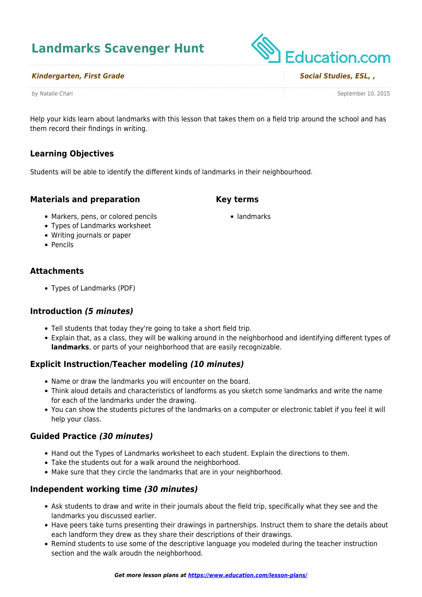# **Landmarks Scavenger Hunt**

#### *Kindergarten, First Grade Social Studies, ESL, ,*

Help your kids learn about landmarks with this lesson that takes them on a field trip around the school and has them record their findings in writing.

**Key terms**

• landmarks

## **Learning Objectives**

Students will be able to identify the different kinds of landmarks in their neighbourhood.

## **Materials and preparation**

- Markers, pens, or colored pencils
- Types of Landmarks worksheet
- Writing journals or paper
- Pencils

## **Attachments**

Types of Landmarks (PDF)

## **Introduction** *(5 minutes)*

- Tell students that today they're going to take a short field trip.
- Explain that, as a class, they will be walking around in the neighborhood and identifying different types of **landmarks**, or parts of your neighborhood that are easily recognizable.

## **Explicit Instruction/Teacher modeling** *(10 minutes)*

- Name or draw the landmarks you will encounter on the board.
- Think aloud details and characteristics of landforms as you sketch some landmarks and write the name for each of the landmarks under the drawing.
- You can show the students pictures of the landmarks on a computer or electronic tablet if you feel it will help your class.

#### **Guided Practice** *(30 minutes)*

- Hand out the Types of Landmarks worksheet to each student. Explain the directions to them.
- Take the students out for a walk around the neighborhood.
- Make sure that they circle the landmarks that are in your neighborhood.

## **Independent working time** *(30 minutes)*

- Ask students to draw and write in their journals about the field trip, specifically what they see and the landmarks you discussed earlier.
- Have peers take turns presenting their drawings in partnerships. Instruct them to share the details about each landform they drew as they share their descriptions of their drawings.
- Remind students to use some of the descriptive language you modeled during the teacher instruction section and the walk aroudn the neighborhood.

**Education.com** 

by Natalie Chari September 10, 2015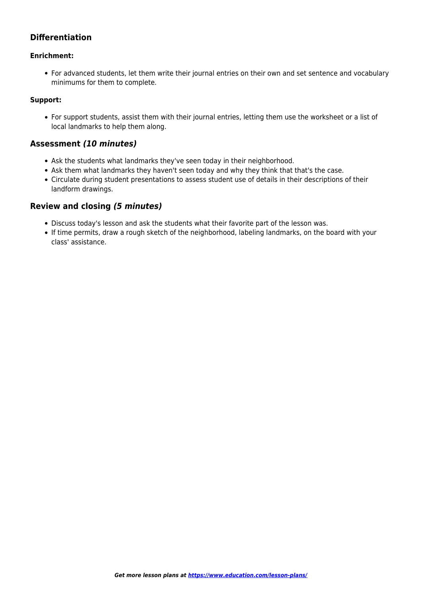# **Differentiation**

#### **Enrichment:**

For advanced students, let them write their journal entries on their own and set sentence and vocabulary minimums for them to complete.

#### **Support:**

For support students, assist them with their journal entries, letting them use the worksheet or a list of local landmarks to help them along.

## **Assessment** *(10 minutes)*

- Ask the students what landmarks they've seen today in their neighborhood.
- Ask them what landmarks they haven't seen today and why they think that that's the case.
- Circulate during student presentations to assess student use of details in their descriptions of their landform drawings.

## **Review and closing** *(5 minutes)*

- Discuss today's lesson and ask the students what their favorite part of the lesson was.
- If time permits, draw a rough sketch of the neighborhood, labeling landmarks, on the board with your class' assistance.